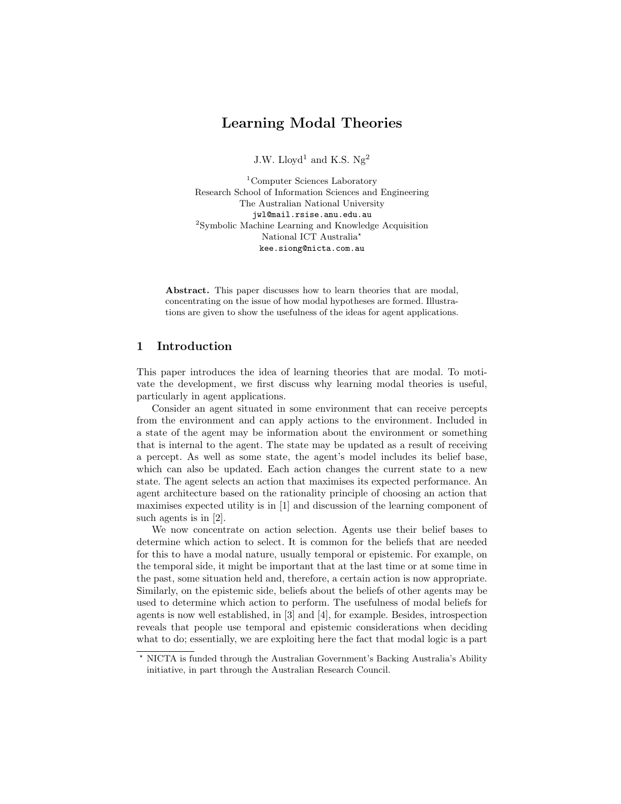# Learning Modal Theories

J.W. Lloyd<sup>1</sup> and K.S.  $Ng<sup>2</sup>$ 

<sup>1</sup>Computer Sciences Laboratory Research School of Information Sciences and Engineering The Australian National University jwl@mail.rsise.anu.edu.au <sup>2</sup>Symbolic Machine Learning and Knowledge Acquisition National ICT Australia? kee.siong@nicta.com.au

Abstract. This paper discusses how to learn theories that are modal, concentrating on the issue of how modal hypotheses are formed. Illustrations are given to show the usefulness of the ideas for agent applications.

### 1 Introduction

This paper introduces the idea of learning theories that are modal. To motivate the development, we first discuss why learning modal theories is useful, particularly in agent applications.

Consider an agent situated in some environment that can receive percepts from the environment and can apply actions to the environment. Included in a state of the agent may be information about the environment or something that is internal to the agent. The state may be updated as a result of receiving a percept. As well as some state, the agent's model includes its belief base, which can also be updated. Each action changes the current state to a new state. The agent selects an action that maximises its expected performance. An agent architecture based on the rationality principle of choosing an action that maximises expected utility is in [1] and discussion of the learning component of such agents is in [2].

We now concentrate on action selection. Agents use their belief bases to determine which action to select. It is common for the beliefs that are needed for this to have a modal nature, usually temporal or epistemic. For example, on the temporal side, it might be important that at the last time or at some time in the past, some situation held and, therefore, a certain action is now appropriate. Similarly, on the epistemic side, beliefs about the beliefs of other agents may be used to determine which action to perform. The usefulness of modal beliefs for agents is now well established, in [3] and [4], for example. Besides, introspection reveals that people use temporal and epistemic considerations when deciding what to do; essentially, we are exploiting here the fact that modal logic is a part

<sup>?</sup> NICTA is funded through the Australian Government's Backing Australia's Ability initiative, in part through the Australian Research Council.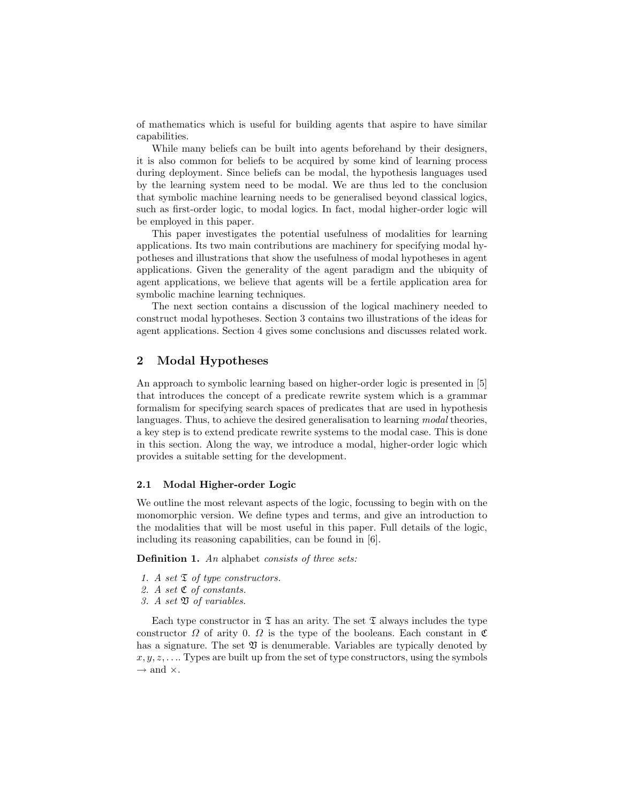of mathematics which is useful for building agents that aspire to have similar capabilities.

While many beliefs can be built into agents beforehand by their designers, it is also common for beliefs to be acquired by some kind of learning process during deployment. Since beliefs can be modal, the hypothesis languages used by the learning system need to be modal. We are thus led to the conclusion that symbolic machine learning needs to be generalised beyond classical logics, such as first-order logic, to modal logics. In fact, modal higher-order logic will be employed in this paper.

This paper investigates the potential usefulness of modalities for learning applications. Its two main contributions are machinery for specifying modal hypotheses and illustrations that show the usefulness of modal hypotheses in agent applications. Given the generality of the agent paradigm and the ubiquity of agent applications, we believe that agents will be a fertile application area for symbolic machine learning techniques.

The next section contains a discussion of the logical machinery needed to construct modal hypotheses. Section 3 contains two illustrations of the ideas for agent applications. Section 4 gives some conclusions and discusses related work.

## 2 Modal Hypotheses

An approach to symbolic learning based on higher-order logic is presented in [5] that introduces the concept of a predicate rewrite system which is a grammar formalism for specifying search spaces of predicates that are used in hypothesis languages. Thus, to achieve the desired generalisation to learning *modal* theories, a key step is to extend predicate rewrite systems to the modal case. This is done in this section. Along the way, we introduce a modal, higher-order logic which provides a suitable setting for the development.

#### 2.1 Modal Higher-order Logic

We outline the most relevant aspects of the logic, focussing to begin with on the monomorphic version. We define types and terms, and give an introduction to the modalities that will be most useful in this paper. Full details of the logic, including its reasoning capabilities, can be found in [6].

Definition 1. An alphabet consists of three sets:

- 1. A set  $\Sigma$  of type constructors.
- 2. A set  $\mathfrak C$  of constants.
- 3. A set  $\mathfrak V$  of variables.

Each type constructor in  $\mathfrak T$  has an arity. The set  $\mathfrak T$  always includes the type constructor  $\Omega$  of arity 0.  $\Omega$  is the type of the booleans. Each constant in  $\mathfrak C$ has a signature. The set  $\mathfrak V$  is denumerable. Variables are typically denoted by  $x, y, z, \ldots$  Types are built up from the set of type constructors, using the symbols  $\rightarrow$  and  $\times$ .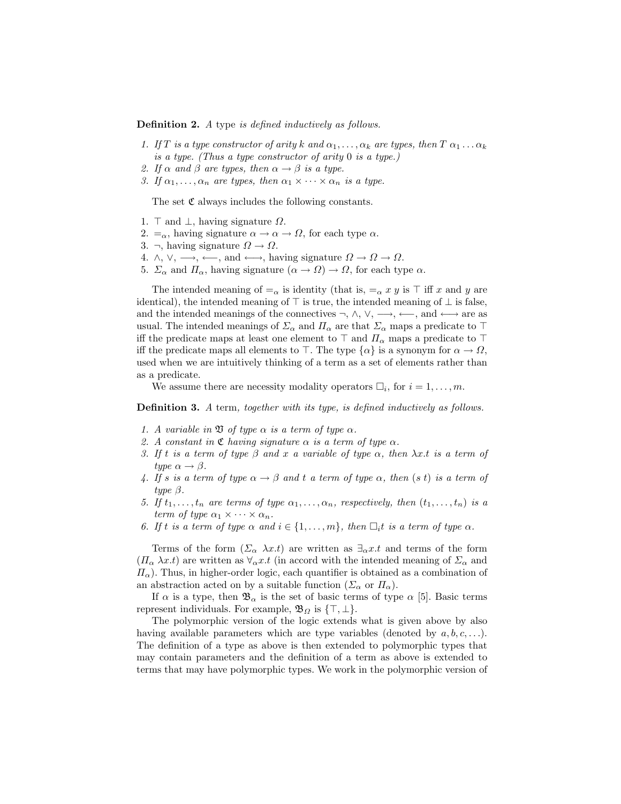**Definition 2.** A type is defined inductively as follows.

- 1. If T is a type constructor of arity k and  $\alpha_1, \ldots, \alpha_k$  are types, then  $T \alpha_1 \ldots \alpha_k$ is a type. (Thus a type constructor of arity 0 is a type.)
- 2. If  $\alpha$  and  $\beta$  are types, then  $\alpha \rightarrow \beta$  is a type.
- 3. If  $\alpha_1, \ldots, \alpha_n$  are types, then  $\alpha_1 \times \cdots \times \alpha_n$  is a type.

The set  $\mathfrak C$  always includes the following constants.

- 1. ⊤ and  $⊥$ , having signature  $Ω$ .
- 2. =<sub>α</sub>, having signature  $\alpha \to \alpha \to \Omega$ , for each type  $\alpha$ .
- 3. ¬, having signature  $\Omega \to \Omega$ .
- 4.  $\land$ ,  $\lor$ ,  $\longrightarrow$ ,  $\longleftarrow$ , and  $\longleftrightarrow$ , having signature  $\Omega \to \Omega \to \Omega$ .
- 5.  $\Sigma_{\alpha}$  and  $\Pi_{\alpha}$ , having signature  $(\alpha \to \Omega) \to \Omega$ , for each type  $\alpha$ .

The intended meaning of  $=_{\alpha}$  is identity (that is,  $=_{\alpha} x y$  is  $\top$  iff x and y are identical), the intended meaning of  $\top$  is true, the intended meaning of  $\bot$  is false, and the intended meanings of the connectives  $\neg$ ,  $\wedge$ ,  $\vee$ ,  $\longrightarrow$ ,  $\longleftarrow$ , and  $\longleftarrow$  are as usual. The intended meanings of  $\Sigma_{\alpha}$  and  $\Pi_{\alpha}$  are that  $\Sigma_{\alpha}$  maps a predicate to  $\top$ iff the predicate maps at least one element to  $\top$  and  $\Pi_\alpha$  maps a predicate to  $\top$ iff the predicate maps all elements to  $\top$ . The type  $\{\alpha\}$  is a synonym for  $\alpha \to \Omega$ , used when we are intuitively thinking of a term as a set of elements rather than as a predicate.

We assume there are necessity modality operators  $\Box_i$ , for  $i = 1, \ldots, m$ .

Definition 3. A term, together with its type, is defined inductively as follows.

- 1. A variable in  $\mathfrak V$  of type  $\alpha$  is a term of type  $\alpha$ .
- 2. A constant in  $\mathfrak C$  having signature  $\alpha$  is a term of type  $\alpha$ .
- 3. If t is a term of type  $\beta$  and x a variable of type  $\alpha$ , then  $\lambda x$  t is a term of type  $\alpha \rightarrow \beta$ .
- 4. If s is a term of type  $\alpha \to \beta$  and t a term of type  $\alpha$ , then (s t) is a term of type  $\beta$ .
- 5. If  $t_1, \ldots, t_n$  are terms of type  $\alpha_1, \ldots, \alpha_n$ , respectively, then  $(t_1, \ldots, t_n)$  is a term of type  $\alpha_1 \times \cdots \times \alpha_n$ .
- 6. If t is a term of type  $\alpha$  and  $i \in \{1, \ldots, m\}$ , then  $\Box_i t$  is a term of type  $\alpha$ .

Terms of the form  $(\Sigma_{\alpha} \lambda x.t)$  are written as  $\exists_{\alpha} x.t$  and terms of the form  $(\Pi_{\alpha} \lambda x.t)$  are written as  $\forall_{\alpha} x.t$  (in accord with the intended meaning of  $\Sigma_{\alpha}$  and  $\Pi_{\alpha}$ ). Thus, in higher-order logic, each quantifier is obtained as a combination of an abstraction acted on by a suitable function  $(\Sigma_{\alpha}$  or  $\Pi_{\alpha})$ .

If  $\alpha$  is a type, then  $\mathfrak{B}_{\alpha}$  is the set of basic terms of type  $\alpha$  [5]. Basic terms represent individuals. For example,  $\mathfrak{B}_{\Omega}$  is  $\{\top, \bot\}.$ 

The polymorphic version of the logic extends what is given above by also having available parameters which are type variables (denoted by  $a, b, c, \ldots$ ). The definition of a type as above is then extended to polymorphic types that may contain parameters and the definition of a term as above is extended to terms that may have polymorphic types. We work in the polymorphic version of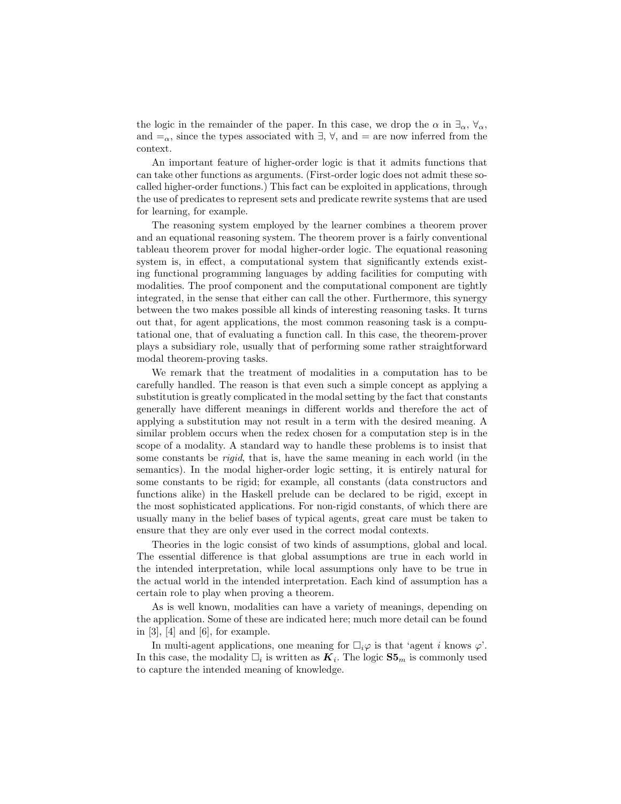the logic in the remainder of the paper. In this case, we drop the  $\alpha$  in  $\exists_{\alpha}, \forall_{\alpha}$ , and  $=_\alpha$ , since the types associated with  $\exists, \forall,$  and  $=$  are now inferred from the context.

An important feature of higher-order logic is that it admits functions that can take other functions as arguments. (First-order logic does not admit these socalled higher-order functions.) This fact can be exploited in applications, through the use of predicates to represent sets and predicate rewrite systems that are used for learning, for example.

The reasoning system employed by the learner combines a theorem prover and an equational reasoning system. The theorem prover is a fairly conventional tableau theorem prover for modal higher-order logic. The equational reasoning system is, in effect, a computational system that significantly extends existing functional programming languages by adding facilities for computing with modalities. The proof component and the computational component are tightly integrated, in the sense that either can call the other. Furthermore, this synergy between the two makes possible all kinds of interesting reasoning tasks. It turns out that, for agent applications, the most common reasoning task is a computational one, that of evaluating a function call. In this case, the theorem-prover plays a subsidiary role, usually that of performing some rather straightforward modal theorem-proving tasks.

We remark that the treatment of modalities in a computation has to be carefully handled. The reason is that even such a simple concept as applying a substitution is greatly complicated in the modal setting by the fact that constants generally have different meanings in different worlds and therefore the act of applying a substitution may not result in a term with the desired meaning. A similar problem occurs when the redex chosen for a computation step is in the scope of a modality. A standard way to handle these problems is to insist that some constants be *rigid*, that is, have the same meaning in each world (in the semantics). In the modal higher-order logic setting, it is entirely natural for some constants to be rigid; for example, all constants (data constructors and functions alike) in the Haskell prelude can be declared to be rigid, except in the most sophisticated applications. For non-rigid constants, of which there are usually many in the belief bases of typical agents, great care must be taken to ensure that they are only ever used in the correct modal contexts.

Theories in the logic consist of two kinds of assumptions, global and local. The essential difference is that global assumptions are true in each world in the intended interpretation, while local assumptions only have to be true in the actual world in the intended interpretation. Each kind of assumption has a certain role to play when proving a theorem.

As is well known, modalities can have a variety of meanings, depending on the application. Some of these are indicated here; much more detail can be found in  $[3], [4]$  and  $[6],$  for example.

In multi-agent applications, one meaning for  $\Box_i\varphi$  is that 'agent i knows  $\varphi'$ . In this case, the modality  $\Box_i$  is written as  $\overline{K}_i$ . The logic  $\mathbf{S5}_m$  is commonly used to capture the intended meaning of knowledge.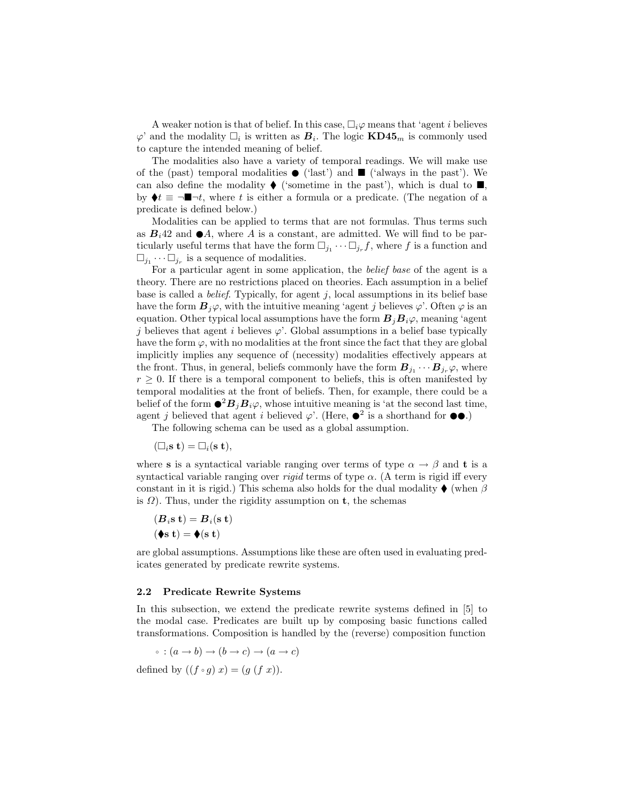A weaker notion is that of belief. In this case,  $\Box_i \varphi$  means that 'agent i believes  $\varphi$ ' and the modality  $\Box_i$  is written as  $B_i$ . The logic  $KD45_m$  is commonly used to capture the intended meaning of belief.

The modalities also have a variety of temporal readings. We will make use of the (past) temporal modalities  $\bullet$  ('last') and  $\bullet$  ('always in the past'). We can also define the modality  $\blacklozenge$  ('sometime in the past'), which is dual to  $\blacksquare$ , by  $\blacklozenge t \equiv \neg \blacksquare \neg t$ , where t is either a formula or a predicate. (The negation of a predicate is defined below.)

Modalities can be applied to terms that are not formulas. Thus terms such as  $B_i$ 42 and  $\bullet$ A, where A is a constant, are admitted. We will find to be particularly useful terms that have the form  $\Box_{j_1} \cdots \Box_{j_r} f$ , where f is a function and  $\Box_{j_1} \cdots \Box_{j_r}$  is a sequence of modalities.

For a particular agent in some application, the belief base of the agent is a theory. There are no restrictions placed on theories. Each assumption in a belief base is called a *belief*. Typically, for agent  $j$ , local assumptions in its belief base have the form  $\mathbf{B}_j\varphi$ , with the intuitive meaning 'agent j believes  $\varphi$ '. Often  $\varphi$  is an equation. Other typical local assumptions have the form  $B_iB_i\varphi$ , meaning 'agent j believes that agent i believes  $\varphi'$ . Global assumptions in a belief base typically have the form  $\varphi$ , with no modalities at the front since the fact that they are global implicitly implies any sequence of (necessity) modalities effectively appears at the front. Thus, in general, beliefs commonly have the form  $B_{j_1} \cdots B_{j_r} \varphi$ , where  $r \geq 0$ . If there is a temporal component to beliefs, this is often manifested by temporal modalities at the front of beliefs. Then, for example, there could be a belief of the form  $\mathbf{\bullet}^2 \mathbf{B}_i \mathbf{B}_i \varphi$ , whose intuitive meaning is 'at the second last time, agent j believed that agent i believed  $\varphi'$ . (Here,  $\bullet^2$  is a shorthand for  $\bullet \bullet$ .)

The following schema can be used as a global assumption.

$$
(\Box_i \mathbf{s} \ \mathbf{t}) = \Box_i (\mathbf{s} \ \mathbf{t}),
$$

where s is a syntactical variable ranging over terms of type  $\alpha \to \beta$  and t is a syntactical variable ranging over *rigid* terms of type  $\alpha$ . (A term is rigid iff every constant in it is rigid.) This schema also holds for the dual modality  $\blacklozenge$  (when  $\beta$ is  $\Omega$ ). Thus, under the rigidity assumption on **t**, the schemas

$$
(\boldsymbol{B}_i \mathbf{s} \ \mathbf{t}) = \boldsymbol{B}_i (\mathbf{s} \ \mathbf{t})
$$
  

$$
(\blacklozenge \mathbf{s} \ \mathbf{t}) = \blacklozenge (\mathbf{s} \ \mathbf{t})
$$

are global assumptions. Assumptions like these are often used in evaluating predicates generated by predicate rewrite systems.

#### 2.2 Predicate Rewrite Systems

In this subsection, we extend the predicate rewrite systems defined in [5] to the modal case. Predicates are built up by composing basic functions called transformations. Composition is handled by the (reverse) composition function

$$
\circ : (a \to b) \to (b \to c) \to (a \to c)
$$

defined by  $((f \circ g) x) = (g (f x))$ .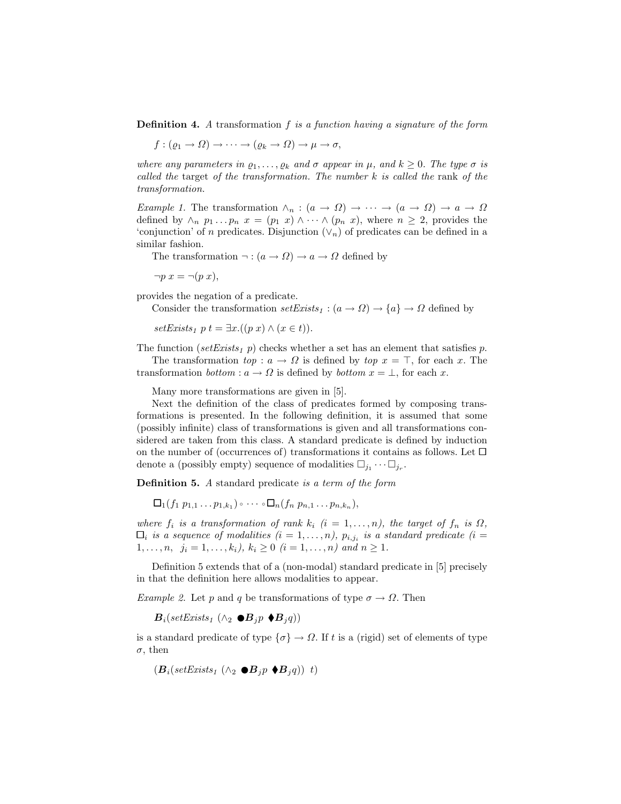**Definition 4.** A transformation f is a function having a signature of the form

$$
f:(\varrho_1\to\varOmega)\to\cdots\to(\varrho_k\to\varOmega)\to\mu\to\sigma,
$$

where any parameters in  $\varrho_1, \ldots, \varrho_k$  and  $\sigma$  appear in  $\mu$ , and  $k \geq 0$ . The type  $\sigma$  is called the target of the transformation. The number k is called the rank of the transformation.

Example 1. The transformation  $\wedge_n : (a \to \Omega) \to \cdots \to (a \to \Omega) \to a \to \Omega$ defined by  $\wedge_n p_1 \dots p_n x = (p_1 x) \wedge \dots \wedge (p_n x)$ , where  $n \geq 2$ , provides the 'conjunction' of n predicates. Disjunction  $(\vee_n)$  of predicates can be defined in a similar fashion.

The transformation  $\neg : (a \rightarrow \Omega) \rightarrow a \rightarrow \Omega$  defined by

 $\neg p \ x = \neg (p \ x),$ 

provides the negation of a predicate.

Consider the transformation  $setExists_1 : (a \rightarrow \Omega) \rightarrow \{a\} \rightarrow \Omega$  defined by

 $setExists_1 p t = \exists x. ((p x) \land (x \in t)).$ 

The function (setExists<sub>1</sub> p) checks whether a set has an element that satisfies p.

The transformation  $top: a \to \Omega$  is defined by  $top x = \top$ , for each x. The transformation *bottom* :  $a \to \Omega$  is defined by *bottom*  $x = \bot$ , for each x.

Many more transformations are given in [5].

Next the definition of the class of predicates formed by composing transformations is presented. In the following definition, it is assumed that some (possibly infinite) class of transformations is given and all transformations considered are taken from this class. A standard predicate is defined by induction on the number of (occurrences of) transformations it contains as follows. Let  $\square$ denote a (possibly empty) sequence of modalities  $\Box_{j_1} \cdots \Box_{j_r}$ .

Definition 5. A standard predicate is a term of the form

 $\Box_1(f_1 p_{1,1} \dots p_{1,k_1}) \circ \cdots \circ \Box_n(f_n p_{n,1} \dots p_{n,k_n}),$ 

where  $f_i$  is a transformation of rank  $k_i$   $(i = 1, \ldots, n)$ , the target of  $f_n$  is  $\Omega$ ,  $\Box_i$  is a sequence of modalities  $(i = 1, \ldots, n)$ ,  $p_{i,j_i}$  is a standard predicate  $(i = 1, \ldots, n)$  $1, \ldots, n, \ \ j_i = 1, \ldots, k_i, \ k_i \geq 0 \ \ (i = 1, \ldots, n) \ \ and \ \ n \geq 1.$ 

Definition 5 extends that of a (non-modal) standard predicate in [5] precisely in that the definition here allows modalities to appear.

Example 2. Let p and q be transformations of type  $\sigma \to \Omega$ . Then

 $\mathbf{B}_i(\text{setE} \mathbf{x} \text{ is} \mathbf{t}_1 \; (\wedge_2 \; \bullet \mathbf{B}_i p \; \bullet \mathbf{B}_i q))$ 

is a standard predicate of type  $\{\sigma\} \to \Omega$ . If t is a (rigid) set of elements of type  $\sigma$ , then

 $(B_i(setExists_1 \ (\wedge_2 \bullet B_j p \ \bullet B_j q)) t)$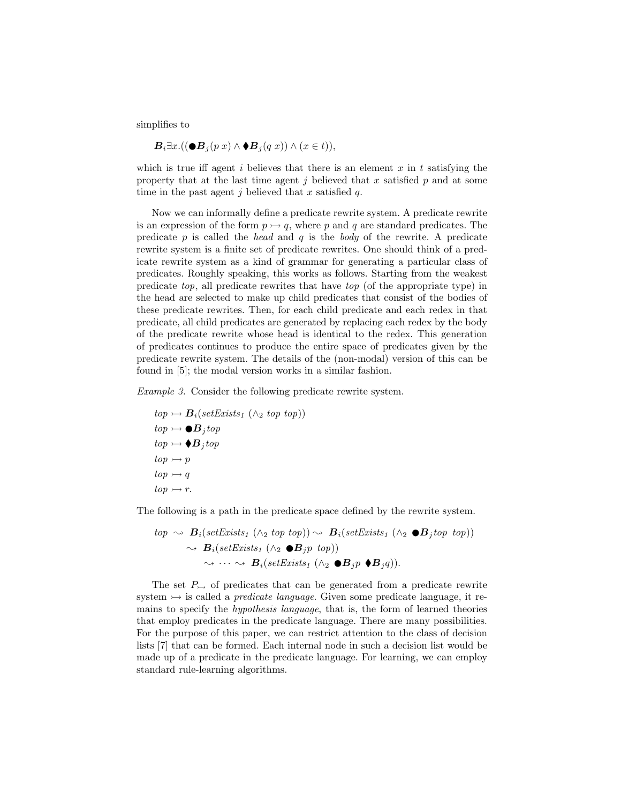simplifies to

$$
\boldsymbol{B}_i \exists x. ((\bullet \boldsymbol{B}_j(p \ x) \land \bullet \boldsymbol{B}_j(q \ x)) \land (x \in t)),
$$

which is true iff agent  $i$  believes that there is an element  $x$  in  $t$  satisfying the property that at the last time agent  $j$  believed that x satisfied p and at some time in the past agent j believed that x satisfied q.

Now we can informally define a predicate rewrite system. A predicate rewrite is an expression of the form  $p \rightarrow q$ , where p and q are standard predicates. The predicate  $p$  is called the *head* and  $q$  is the *body* of the rewrite. A predicate rewrite system is a finite set of predicate rewrites. One should think of a predicate rewrite system as a kind of grammar for generating a particular class of predicates. Roughly speaking, this works as follows. Starting from the weakest predicate top, all predicate rewrites that have top (of the appropriate type) in the head are selected to make up child predicates that consist of the bodies of these predicate rewrites. Then, for each child predicate and each redex in that predicate, all child predicates are generated by replacing each redex by the body of the predicate rewrite whose head is identical to the redex. This generation of predicates continues to produce the entire space of predicates given by the predicate rewrite system. The details of the (non-modal) version of this can be found in [5]; the modal version works in a similar fashion.

Example 3. Consider the following predicate rewrite system.

$$
top \rightarrow B_i(setExists_1 \ (\wedge_2 \ top \ top))
$$
  
\n
$$
top \rightarrow \bullet B_j top
$$
  
\n
$$
top \rightarrow \bullet B_j top
$$
  
\n
$$
top \rightarrow p
$$
  
\n
$$
top \rightarrow q
$$
  
\n
$$
top \rightarrow r.
$$

The following is a path in the predicate space defined by the rewrite system.

$$
\begin{aligned}\n\text{top} &\sim \mathbf{B}_i(\text{setExists}_1 \ (\wedge_2 \text{ top top})) \sim \mathbf{B}_i(\text{setExists}_1 \ (\wedge_2 \bullet \mathbf{B}_j \text{top top})) \\
&\sim \mathbf{B}_i(\text{setExists}_1 \ (\wedge_2 \bullet \mathbf{B}_j \text{p top})) \\
&\sim \cdots \sim \mathbf{B}_i(\text{setExists}_1 \ (\wedge_2 \bullet \mathbf{B}_j \text{p } \bullet \mathbf{B}_j \text{q})).\n\end{aligned}
$$

The set  $P_{\rightarrow}$  of predicates that can be generated from a predicate rewrite system  $\rightarrow$  is called a *predicate language*. Given some predicate language, it remains to specify the hypothesis language, that is, the form of learned theories that employ predicates in the predicate language. There are many possibilities. For the purpose of this paper, we can restrict attention to the class of decision lists [7] that can be formed. Each internal node in such a decision list would be made up of a predicate in the predicate language. For learning, we can employ standard rule-learning algorithms.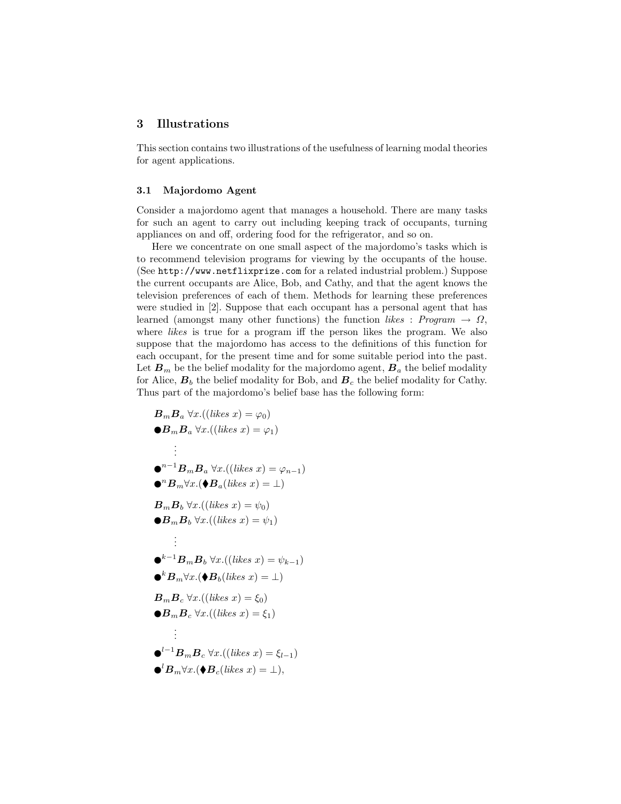### 3 Illustrations

This section contains two illustrations of the usefulness of learning modal theories for agent applications.

#### 3.1 Majordomo Agent

Consider a majordomo agent that manages a household. There are many tasks for such an agent to carry out including keeping track of occupants, turning appliances on and off, ordering food for the refrigerator, and so on.

Here we concentrate on one small aspect of the majordomo's tasks which is to recommend television programs for viewing by the occupants of the house. (See http://www.netflixprize.com for a related industrial problem.) Suppose the current occupants are Alice, Bob, and Cathy, and that the agent knows the television preferences of each of them. Methods for learning these preferences were studied in [2]. Suppose that each occupant has a personal agent that has learned (amongst many other functions) the function likes : Program  $\rightarrow \Omega$ , where *likes* is true for a program iff the person likes the program. We also suppose that the majordomo has access to the definitions of this function for each occupant, for the present time and for some suitable period into the past. Let  $B_m$  be the belief modality for the majordomo agent,  $B_a$  the belief modality for Alice,  $B_b$  the belief modality for Bob, and  $B_c$  the belief modality for Cathy. Thus part of the majordomo's belief base has the following form:

$$
B_m B_a \forall x.((likes x) = \varphi_0)
$$
  
\n
$$
\bullet B_m B_a \forall x.((likes x) = \varphi_1)
$$
  
\n
$$
\vdots
$$
  
\n
$$
\bullet^{n-1} B_m B_a \forall x.((likes x) = \varphi_{n-1})
$$
  
\n
$$
\bullet^n B_m \forall x.(\bullet B_a(likes x) = \bot)
$$
  
\n
$$
B_m B_b \forall x.((likes x) = \psi_0)
$$
  
\n
$$
\bullet B_m B_b \forall x.((likes x) = \psi_1)
$$
  
\n
$$
\vdots
$$
  
\n
$$
\bullet^{k-1} B_m B_b \forall x.((likes x) = \psi_{k-1})
$$
  
\n
$$
\bullet^k B_m \forall x.(\bullet B_b(likes x) = \bot)
$$
  
\n
$$
B_m B_c \forall x.((likes x) = \xi_1)
$$
  
\n
$$
\vdots
$$
  
\n
$$
\bullet^{l-1} B_m B_c \forall x.((likes x) = \xi_{l-1})
$$
  
\n
$$
\bullet^l B_m \forall x.(\bullet B_c(likes x) = \bot),
$$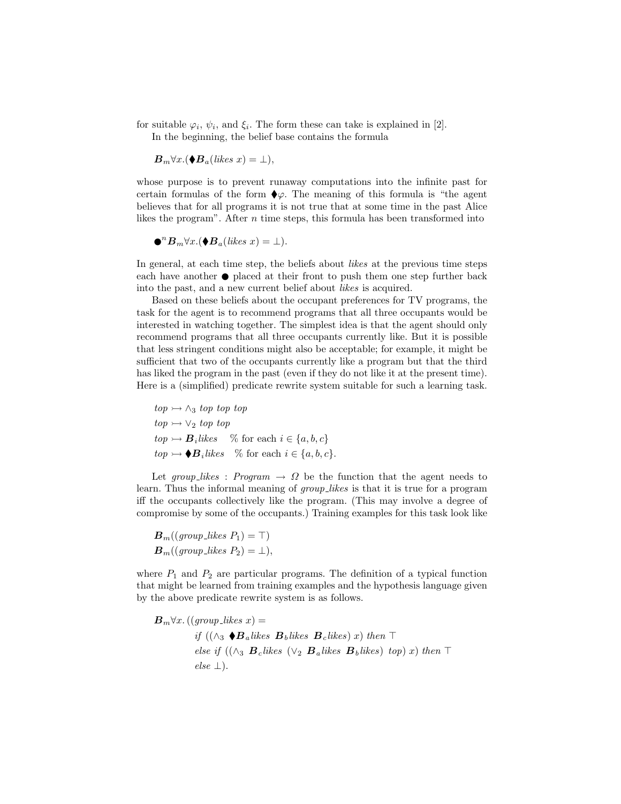for suitable  $\varphi_i$ ,  $\psi_i$ , and  $\xi_i$ . The form these can take is explained in [2].

In the beginning, the belief base contains the formula

$$
\mathbf{B}_{m}\forall x.(\blacklozenge \mathbf{B}_{a}(likes x) = \bot),
$$

whose purpose is to prevent runaway computations into the infinite past for certain formulas of the form  $\lozenge \varphi$ . The meaning of this formula is "the agent believes that for all programs it is not true that at some time in the past Alice likes the program". After  $n$  time steps, this formula has been transformed into

$$
\bullet^n B_m \forall x. (\bullet B_a(likes\ x) = \bot).
$$

In general, at each time step, the beliefs about likes at the previous time steps each have another  $\bullet$  placed at their front to push them one step further back into the past, and a new current belief about likes is acquired.

Based on these beliefs about the occupant preferences for TV programs, the task for the agent is to recommend programs that all three occupants would be interested in watching together. The simplest idea is that the agent should only recommend programs that all three occupants currently like. But it is possible that less stringent conditions might also be acceptable; for example, it might be sufficient that two of the occupants currently like a program but that the third has liked the program in the past (even if they do not like it at the present time). Here is a (simplified) predicate rewrite system suitable for such a learning task.

$$
top \rightarrow \wedge_3 top top top
$$
  
\n
$$
top \rightarrow \vee_2 top top
$$
  
\n
$$
top \rightarrow B_i likes \quad \% \text{ for each } i \in \{a, b, c\}
$$
  
\n
$$
top \rightarrow \blacklozenge B_i likes \quad \% \text{ for each } i \in \{a, b, c\}.
$$

Let group likes : Program  $\rightarrow \Omega$  be the function that the agent needs to learn. Thus the informal meaning of *group likes* is that it is true for a program iff the occupants collectively like the program. (This may involve a degree of compromise by some of the occupants.) Training examples for this task look like

$$
B_m((group\_likes P_1) = \top)
$$
  

$$
B_m((group\_likes P_2) = \bot),
$$

where  $P_1$  and  $P_2$  are particular programs. The definition of a typical function that might be learned from training examples and the hypothesis language given by the above predicate rewrite system is as follows.

$$
B_m \forall x. ((group\_likes x) =
$$
  
\nif ((\wedge\_3 \blacklozenge B\_a likes B\_blikes B\_clikes) x) then  $\top$   
\nelse if ((\wedge\_3 B\_clikes (\vee\_2 B\_alikes B\_blikes) top) x) then  $\top$   
\nelse  $\bot$ ).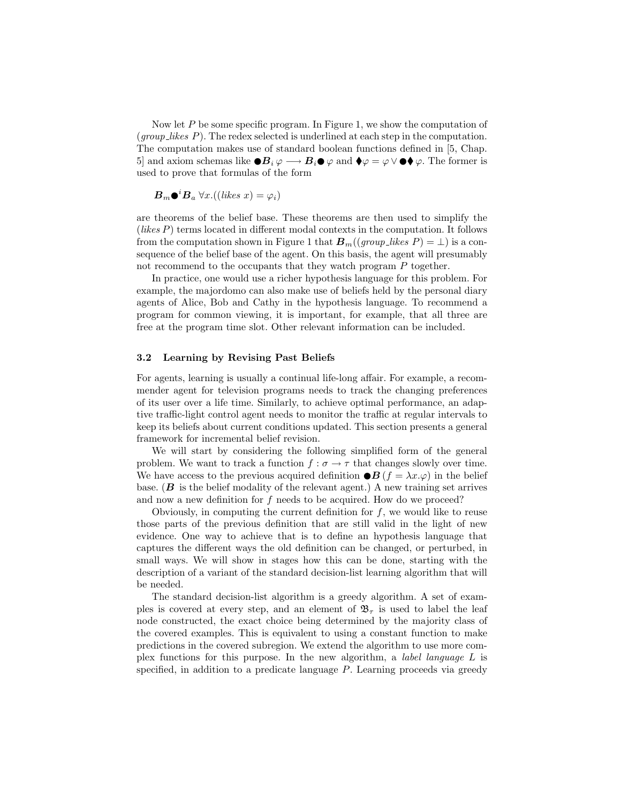Now let P be some specific program. In Figure 1, we show the computation of (group likes  $P$ ). The redex selected is underlined at each step in the computation. The computation makes use of standard boolean functions defined in [5, Chap. 5] and axiom schemas like  $\bullet \mathbf{B}_i \varphi \longrightarrow \mathbf{B}_i \bullet \varphi$  and  $\bullet \varphi = \varphi \vee \bullet \bullet \varphi$ . The former is used to prove that formulas of the form

$$
\boldsymbol{B}_m \bullet^i \boldsymbol{B}_a \ \forall x.((\text{likes } x) = \varphi_i)
$$

are theorems of the belief base. These theorems are then used to simplify the (*likes P*) terms located in different modal contexts in the computation. It follows from the computation shown in Figure 1 that  $\mathbf{B}_{m}((\text{group-like} s P) = \bot)$  is a consequence of the belief base of the agent. On this basis, the agent will presumably not recommend to the occupants that they watch program P together.

In practice, one would use a richer hypothesis language for this problem. For example, the majordomo can also make use of beliefs held by the personal diary agents of Alice, Bob and Cathy in the hypothesis language. To recommend a program for common viewing, it is important, for example, that all three are free at the program time slot. Other relevant information can be included.

#### 3.2 Learning by Revising Past Beliefs

For agents, learning is usually a continual life-long affair. For example, a recommender agent for television programs needs to track the changing preferences of its user over a life time. Similarly, to achieve optimal performance, an adaptive traffic-light control agent needs to monitor the traffic at regular intervals to keep its beliefs about current conditions updated. This section presents a general framework for incremental belief revision.

We will start by considering the following simplified form of the general problem. We want to track a function  $f : \sigma \to \tau$  that changes slowly over time. We have access to the previous acquired definition  $\bullet B$  ( $f = \lambda x.\varphi$ ) in the belief base.  $(B$  is the belief modality of the relevant agent.) A new training set arrives and now a new definition for  $f$  needs to be acquired. How do we proceed?

Obviously, in computing the current definition for  $f$ , we would like to reuse those parts of the previous definition that are still valid in the light of new evidence. One way to achieve that is to define an hypothesis language that captures the different ways the old definition can be changed, or perturbed, in small ways. We will show in stages how this can be done, starting with the description of a variant of the standard decision-list learning algorithm that will be needed.

The standard decision-list algorithm is a greedy algorithm. A set of examples is covered at every step, and an element of  $\mathfrak{B}_{\tau}$  is used to label the leaf node constructed, the exact choice being determined by the majority class of the covered examples. This is equivalent to using a constant function to make predictions in the covered subregion. We extend the algorithm to use more complex functions for this purpose. In the new algorithm, a label language L is specified, in addition to a predicate language  $P$ . Learning proceeds via greedy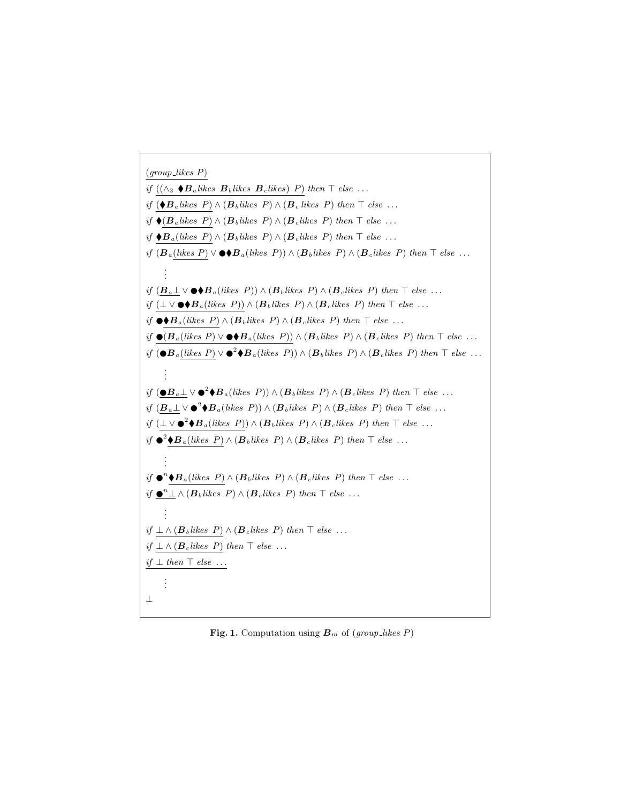$(group\_likes P)$ if (( $\wedge$ 3 ♦  $\boldsymbol{B}_a$  likes  $\boldsymbol{B}_b$  likes  $\boldsymbol{B}_c$  likes)  $P$ ) then  $\top$  else ... if ( $\blacklozenge$ B<sub>a</sub> likes P) ∧ (B<sub>b</sub> likes P) ∧ (B<sub>c</sub> likes P) then  $\top$  else ... *if* ◆ ( $\mathbf{B}_a$  likes P) ∧ ( $\mathbf{B}_b$  likes P) ∧ ( $\mathbf{B}_c$  likes P) then  $\top$  else ... if  $\bigoplus B_a (likes \ P) \wedge (B_b likes \ P) \wedge (B_c likes \ P) then \top else \dots$ if  $(B_a(likes\ P) \vee \blacklozenge B_a(likes\ P)) \wedge (B_blikes\ P) \wedge (B_clikes\ P)$  then  $\top$  else ... . . . if  $(B_a \perp \vee \bigoplus B_a (likes \ P)) \wedge (B_b likes \ P) \wedge (B_c likes \ P) then \top else \dots$ if  $(\perp \vee \bullet \bullet B_a(likes \ P)) \wedge (B_b likes \ P) \wedge (B_clikes \ P)$  then  $\top$  else ... *if*  $\bigodot$  B<sub>a</sub>(likes P)∧ (B<sub>b</sub> likes P)∧ (B<sub>c</sub> likes P) then  $\top$  else ... if  $\bigodot (B_a (likes \ P) \vee \bigodot B_a (likes \ P)) \wedge (B_b likes \ P) \wedge (B_c likes \ P) then \top else \dots$ if  $(●B<sub>a</sub> (likes P) ∨ ②<sup>2</sup>♦B<sub>a</sub> (likes P)) ∧ (B<sub>b</sub> likes P) ∧ (B<sub>c</sub> likes P) then ⊤ else ...$ . . . if  $(\underline{\bullet B_a}$   $\perp \vee \underline{\bullet}^2 \bullet B_a(likes \ P)) \wedge (B_blikes \ P) \wedge (B_clikes \ P)$  then  $\top$  else ... if  $(\underline{B_a}$   $\perp \vee \bullet^2 \bullet B_a (likes \ P)) \wedge (B_b likes \ P) \wedge (B_c likes \ P) then \top else \dots$ if  $(\perp \vee \bullet^2 \blacklozenge B_a(i$ kes P) ∧ (B<sub>b</sub> likes P) ∧ (B<sub>c</sub> likes P) then  $\top$  else ... if  $\bigcirc^2 \bigcirc B_a(likes\ P)\wedge (B_blikes\ P) \wedge (B_clikes\ P)$  then  $\top$  else ... . . . if  $\bigcirc$ <sup>n</sup> <u>◆ B<sub>a</sub>(likes P)</u>  $\wedge$  (B<sub>b</sub> likes P)  $\wedge$  (B<sub>c</sub> likes P) then  $\top$  else ... if  $\underline{\bullet}^n \underline{\bot} \wedge (B_b$  likes  $P) \wedge (B_c$  likes  $P)$  then  $\top$  else ... . . . *if* ⊥ ∧ ( $\mathbf{B}_b$  likes P) ∧ ( $\mathbf{B}_c$  likes P) then  $\top$  else ... *if* ⊥ ∧ ( $\mathbf{B}_c$  likes P) then  $\top$  else ... if  $\bot$  then  $\top$  else  $\ldots$ . . . ⊥

Fig. 1. Computation using  $B_m$  of (group likes P)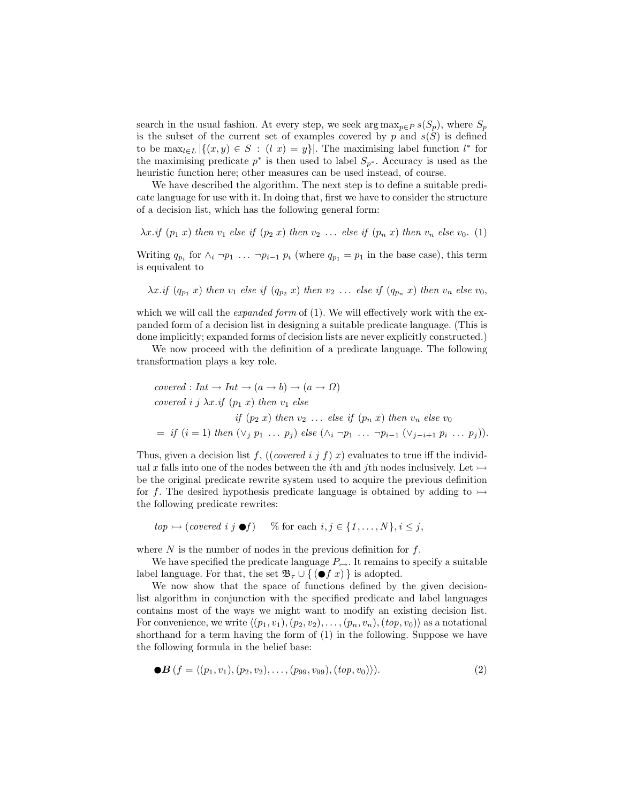search in the usual fashion. At every step, we seek arg  $\max_{p \in P} s(S_p)$ , where  $S_p$ is the subset of the current set of examples covered by  $p$  and  $s(S)$  is defined to be  $\max_{l \in L} |\{(x, y) \in S : (l x) = y\}|$ . The maximising label function  $l^*$  for the maximising predicate  $p^*$  is then used to label  $S_{p^*}$ . Accuracy is used as the heuristic function here; other measures can be used instead, of course.

We have described the algorithm. The next step is to define a suitable predicate language for use with it. In doing that, first we have to consider the structure of a decision list, which has the following general form:

 $\lambda x$ .if  $(p_1 x)$  then  $v_1$  else if  $(p_2 x)$  then  $v_2 \ldots$  else if  $(p_n x)$  then  $v_n$  else  $v_0$ . (1)

Writing  $q_{p_i}$  for  $\wedge_i \neg p_1 \dots \neg p_{i-1} p_i$  (where  $q_{p_1} = p_1$  in the base case), this term is equivalent to

 $\lambda x.$ if  $(q_{p_1} x)$  then  $v_1$  else if  $(q_{p_2} x)$  then  $v_2 \ldots$  else if  $(q_{p_n} x)$  then  $v_n$  else  $v_0$ ,

which we will call the *expanded form* of  $(1)$ . We will effectively work with the expanded form of a decision list in designing a suitable predicate language. (This is done implicitly; expanded forms of decision lists are never explicitly constructed.)

We now proceed with the definition of a predicate language. The following transformation plays a key role.

$$
covered: Int \to Int \to (a \to b) \to (a \to \Omega)
$$
  
covered i j  $\lambda x. if (p_1 x)$  then  $v_1$  else  

$$
if (p_2 x)
$$
 then  $v_2 \dots$  else if  $(p_n x)$  then  $v_n$  else  $v_0$   
= if  $(i = 1)$  then  $(\vee_j p_1 \dots p_j)$  else  $(\wedge_i \neg p_1 \dots \neg p_{i-1} (\vee_{j-i+1} p_i \dots p_j)).$ 

Thus, given a decision list f,  $((covered i j f) x)$  evaluates to true iff the individual x falls into one of the nodes between the *i*th and *j*th nodes inclusively. Let  $\rightarrow$ be the original predicate rewrite system used to acquire the previous definition for f. The desired hypothesis predicate language is obtained by adding to  $\rightarrow$ the following predicate rewrites:

$$
top \rightarrow (covered \, i \, j \bullet f)
$$
 % for each  $i, j \in \{1, ..., N\}, i \leq j$ ,

where  $N$  is the number of nodes in the previous definition for  $f$ .

We have specified the predicate language  $P_{\rightarrow}$ . It remains to specify a suitable label language. For that, the set  $\mathfrak{B}_{\tau} \cup \{ (\bullet f \ x) \}$  is adopted.

We now show that the space of functions defined by the given decisionlist algorithm in conjunction with the specified predicate and label languages contains most of the ways we might want to modify an existing decision list. For convenience, we write  $\langle (p_1, v_1), (p_2, v_2), \ldots, (p_n, v_n), (top, v_0) \rangle$  as a notational shorthand for a term having the form of (1) in the following. Suppose we have the following formula in the belief base:

$$
\bullet \mathbf{B} \,(f = \langle (p_1, v_1), (p_2, v_2), \dots, (p_{99}, v_{99}), (top, v_0) \rangle ). \tag{2}
$$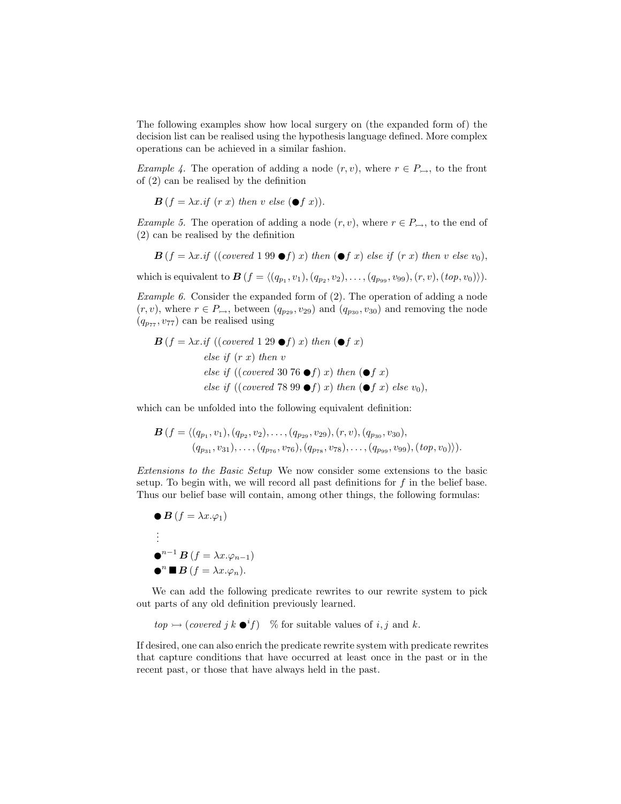The following examples show how local surgery on (the expanded form of) the decision list can be realised using the hypothesis language defined. More complex operations can be achieved in a similar fashion.

*Example 4.* The operation of adding a node  $(r, v)$ , where  $r \in P_{\rightarrow}$ , to the front of (2) can be realised by the definition

 $\mathbf{B}$  (f =  $\lambda x$  if (r x) then v else ( $\bullet$ f x)).

Example 5. The operation of adding a node  $(r, v)$ , where  $r \in P_{\rightarrow}$ , to the end of (2) can be realised by the definition

$$
\mathbf{B}\left(f=\lambda x\cdot if\ ((covered\ 1\ 99\ \bullet f)\ x)\ then\ (\bullet f\ x)\ else\ if\ (r\ x)\ then\ v\ else\ v_0\right),
$$

which is equivalent to  $\mathbf{B} (f = \langle (q_{p_1}, v_1), (q_{p_2}, v_2), \ldots, (q_{p_{99}}, v_{99}), (r, v), (top, v_0) \rangle).$ 

Example 6. Consider the expanded form of  $(2)$ . The operation of adding a node  $(r, v)$ , where  $r \in P_{\rightarrow}$ , between  $(q_{p_{29}}, v_{29})$  and  $(q_{p_{30}}, v_{30})$  and removing the node  $(q_{p77}, v_{77})$  can be realised using

$$
B(f = \lambda x. if ((covered 1 29 \bullet f) x) then (\bullet f x)
$$
  
else if (r x) then v  
else if ((covered 30 76 \bullet f) x) then (\bullet f x)  
else if ((covered 78 99 \bullet f) x) then (\bullet f x) else v<sub>0</sub>),

which can be unfolded into the following equivalent definition:

$$
\mathbf{B}(f = \langle (q_{p_1}, v_1), (q_{p_2}, v_2), \dots, (q_{p_{29}}, v_{29}), (r, v), (q_{p_{30}}, v_{30}),
$$
  

$$
(q_{p_{31}}, v_{31}), \dots, (q_{p_{76}}, v_{76}), (q_{p_{78}}, v_{78}), \dots, (q_{p_{99}}, v_{99}), (top, v_0) \rangle).
$$

Extensions to the Basic Setup We now consider some extensions to the basic setup. To begin with, we will record all past definitions for  $f$  in the belief base. Thus our belief base will contain, among other things, the following formulas:

$$
\begin{aligned}\n\bullet \mathbf{B} \left( f = \lambda x . \varphi_1 \right) \\
\vdots \\
\bullet^{n-1} \mathbf{B} \left( f = \lambda x . \varphi_{n-1} \right) \\
\bullet^n \blacksquare \mathbf{B} \left( f = \lambda x . \varphi_n \right).\n\end{aligned}
$$

We can add the following predicate rewrites to our rewrite system to pick out parts of any old definition previously learned.

 $top \rightarrow (covered \; j \; k \bullet i f)$  % for suitable values of  $i, j$  and  $k$ .

If desired, one can also enrich the predicate rewrite system with predicate rewrites that capture conditions that have occurred at least once in the past or in the recent past, or those that have always held in the past.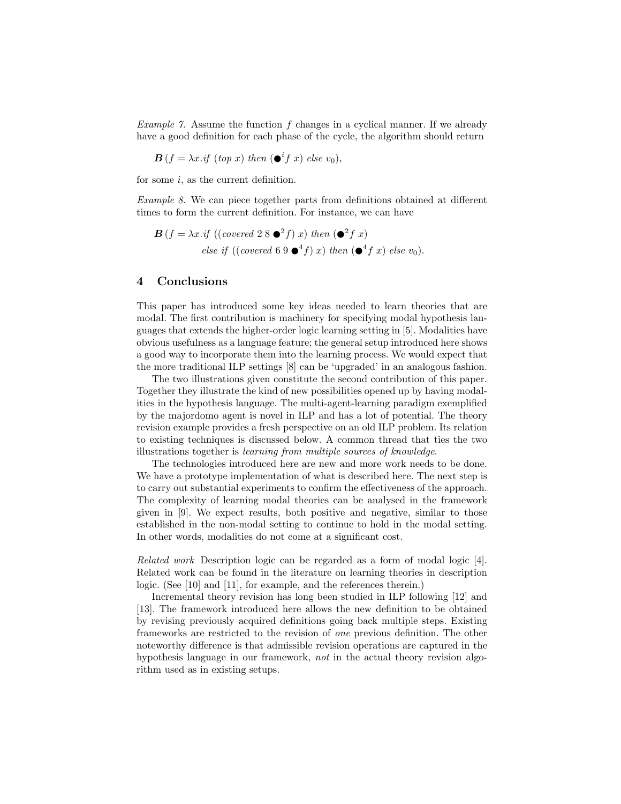*Example 7.* Assume the function  $f$  changes in a cyclical manner. If we already have a good definition for each phase of the cycle, the algorithm should return

$$
\boldsymbol{B}\left(f=\lambda x. \textit{if } (\textit{top } x) \textit{ then } (\bullet^i f \textit{x}) \textit{ else } v_0\right),
$$

for some i, as the current definition.

Example 8. We can piece together parts from definitions obtained at different times to form the current definition. For instance, we can have

$$
\mathbf{B}\left(f = \lambda x \text{.}if\ ((covered\ 2 \ 8 \ \bullet^2 f) \ x) \ then\ (\bullet^2 f \ x)
$$
\n
$$
else\ if\ ((covered\ 6\ 9 \ \bullet^4 f) \ x) \ then\ (\bullet^4 f \ x) \ else \ v_0).
$$

### 4 Conclusions

This paper has introduced some key ideas needed to learn theories that are modal. The first contribution is machinery for specifying modal hypothesis languages that extends the higher-order logic learning setting in [5]. Modalities have obvious usefulness as a language feature; the general setup introduced here shows a good way to incorporate them into the learning process. We would expect that the more traditional ILP settings [8] can be 'upgraded' in an analogous fashion.

The two illustrations given constitute the second contribution of this paper. Together they illustrate the kind of new possibilities opened up by having modalities in the hypothesis language. The multi-agent-learning paradigm exemplified by the majordomo agent is novel in ILP and has a lot of potential. The theory revision example provides a fresh perspective on an old ILP problem. Its relation to existing techniques is discussed below. A common thread that ties the two illustrations together is learning from multiple sources of knowledge.

The technologies introduced here are new and more work needs to be done. We have a prototype implementation of what is described here. The next step is to carry out substantial experiments to confirm the effectiveness of the approach. The complexity of learning modal theories can be analysed in the framework given in [9]. We expect results, both positive and negative, similar to those established in the non-modal setting to continue to hold in the modal setting. In other words, modalities do not come at a significant cost.

Related work Description logic can be regarded as a form of modal logic [4]. Related work can be found in the literature on learning theories in description logic. (See [10] and [11], for example, and the references therein.)

Incremental theory revision has long been studied in ILP following [12] and [13]. The framework introduced here allows the new definition to be obtained by revising previously acquired definitions going back multiple steps. Existing frameworks are restricted to the revision of one previous definition. The other noteworthy difference is that admissible revision operations are captured in the hypothesis language in our framework, not in the actual theory revision algorithm used as in existing setups.